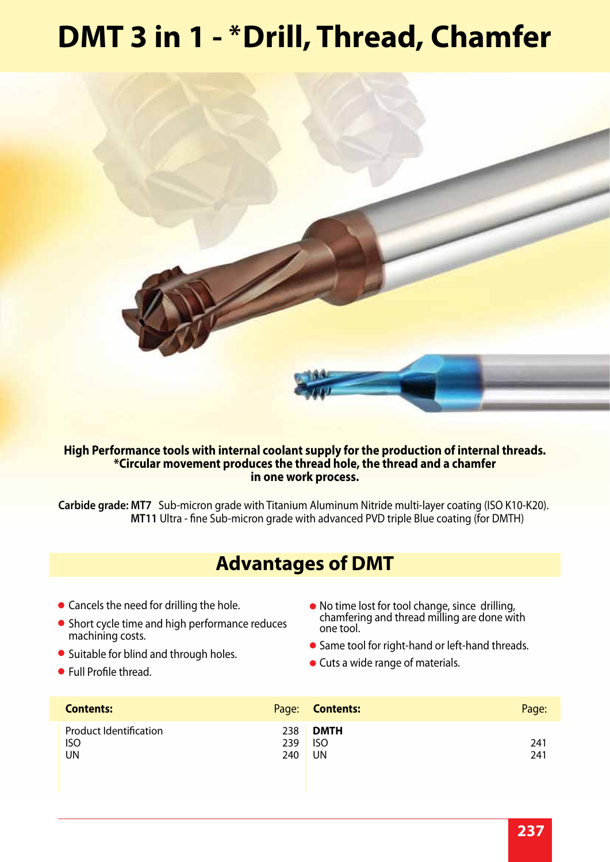# **DMT 3 in 1 - \*Drill, Thread, Chamfer**



### **High Performance tools with internal coolant supply for the production of internal threads. \*Circular movement produces the thread hole, the thread and a chamfer in one work process.**

**Carbide grade: MT7** Sub-micron grade with Titanium Aluminum Nitride multi-layer coating (ISO K10-K20). **MT11** Ultra - fine Sub-micron grade with advanced PVD triple Blue coating (for DMTH)

## **Advantages of DMT**

- Cancels the need for drilling the hole.
- **Contents: 2000 •** Short cycle time and high performance reduces machining costs.
- Suitable for blind and through holes.
- Full Profile thread.
- No time lost for tool change, since drilling, chamfering and thread milling are done with one tool.
- Same tool for right-hand or left-hand threads.
- Cuts a wide range of materials.

| <b>Contents:</b>                                  |                   | Page: <b>Contents:</b>          | Page:      |
|---------------------------------------------------|-------------------|---------------------------------|------------|
| <b>Product Identification</b><br><b>ISO</b><br>UN | 238<br>239<br>240 | <b>DMTH</b><br><b>ISO</b><br>UN | 241<br>241 |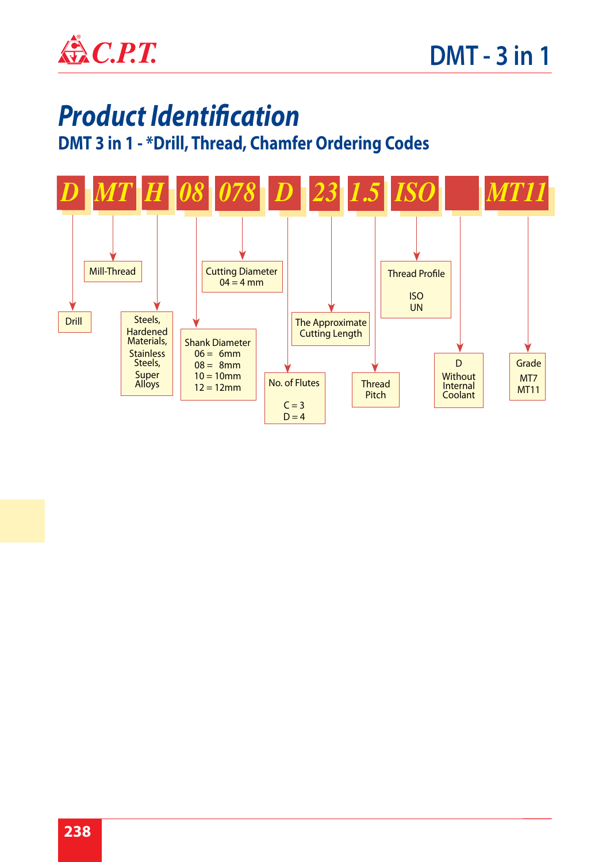

# *Product Identification*

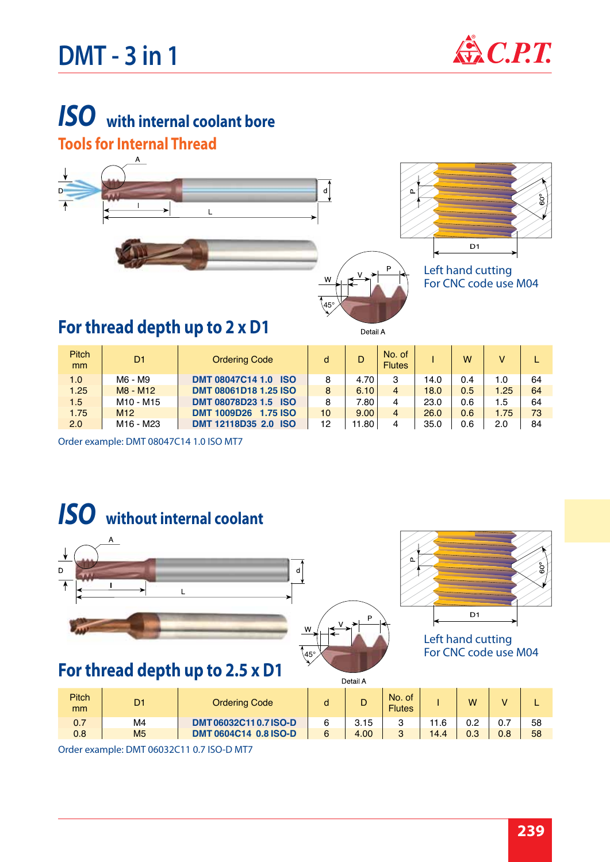# $DMT - 3$  in 1  $\mathbb{Q}$  *C.P.T.*



## *ISO*  **with internal coolant bore Tools for Internal Thread**



| <b>Pitch</b><br><sub>mm</sub> | D <sub>1</sub>                    | <b>Ordering Code</b>                  | d  | D     | No. of<br><b>Flutes</b> |      | w   | v    |    |
|-------------------------------|-----------------------------------|---------------------------------------|----|-------|-------------------------|------|-----|------|----|
| 1.0                           | M6 - M9                           | <b>DMT 08047C14 1.0</b><br><b>ISO</b> |    | 4.70  | 3                       | 14.0 | 0.4 | 1.0  | 64 |
| 1.25                          | M8 - M12                          | DMT 08061D18 1.25 ISO                 | 8  | 6.10  |                         | 18.0 | 0.5 | 1.25 | 64 |
| 1.5                           | M <sub>10</sub> - M <sub>15</sub> | DMT 08078D23 1.5 ISO                  |    | 7.80  |                         | 23.0 | 0.6 | 1.5  | 64 |
| 1.75                          | M12                               | <b>1.75 ISO</b><br><b>DMT 1009D26</b> | 10 | 9.00  | 4                       | 26.0 | 0.6 | 1.75 | 73 |
| 2.0                           | M <sub>16</sub> - M <sub>23</sub> | <b>DMT 12118D35 2.0 ISO</b>           | 12 | 11.80 | 4                       | 35.0 | 0.6 | 2.0  | 84 |

Order example: DMT 08047C14 1.0 ISO MT7



**DMT 0604C14 0.8 ISO-D** 

Order example: DMT 06032C11 0.7 ISO-D MT7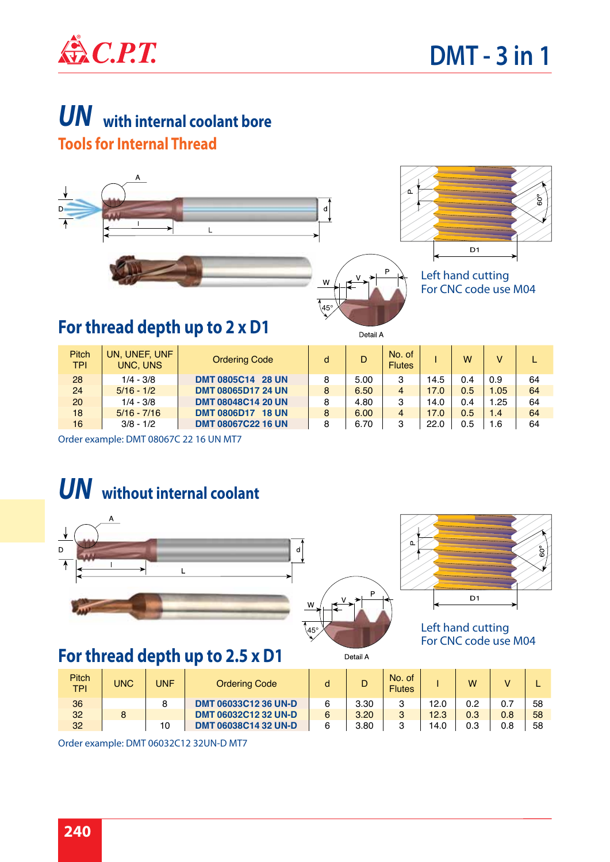

## *UN*  **with internal coolant bore Tools for Internal Thread**



| <b>Pitch</b><br><b>TPI</b> | UN, UNEF, UNF<br>UNC, UNS | <b>Ordering Code</b>               | d | D    | No. of<br><b>Flutes</b> |      | W   | v    |    |
|----------------------------|---------------------------|------------------------------------|---|------|-------------------------|------|-----|------|----|
| 28                         | $1/4 - 3/8$               | <b>DMT 0805C14 28 UN</b>           | 8 | 5.00 | 3                       | 14.5 | 0.4 | 0.9  | 64 |
| 24                         | $5/16 - 1/2$              | <b>DMT 08065D17 24 UN</b>          | 8 | 6.50 | $\overline{4}$          | 17.0 | 0.5 | 1.05 | 64 |
| 20                         | $1/4 - 3/8$               | <b>DMT 08048C14 20 UN</b>          | 8 | 4.80 | 3                       | 14.0 | 0.4 | 1.25 | 64 |
| 18                         | $5/16 - 7/16$             | <b>DMT 0806D17</b><br><b>18 UN</b> | 8 | 6.00 | $\overline{4}$          | 17.0 | 0.5 | 1.4  | 64 |
| 16                         | $3/8 - 1/2$               | <b>DMT 08067C22 16 UN</b>          | 8 | 6.70 | 3                       | 22.0 | 0.5 | 1.6  | 64 |

Order example: DMT 08067C 22 16 UN MT7

## *UN* **without internal coolant**



## **For thread depth up to 2.5 x D1**



Left hand cutting For CNC code use M04

| Pitch<br><b>TPI</b> | UNC | <b>UNF</b> | <b>Ordering Code</b>        |      | No. of<br><b>Flutes</b> |      | W   |     |    |
|---------------------|-----|------------|-----------------------------|------|-------------------------|------|-----|-----|----|
| 36                  |     | 8          | DMT 06033C12 36 UN-D        | 3.30 | ົ                       | 12.0 | 0.2 | 0.7 | 58 |
| 32                  |     |            | <b>DMT 06032C12 32 UN-D</b> | 3.20 | 3                       | 12.3 | 0.3 | 0.8 | 58 |
| 32                  |     | 10         | <b>DMT 06038C14 32 UN-D</b> | 3.80 | 2                       | 14.0 | 0.3 | 0.8 | 58 |
|                     |     |            |                             |      |                         |      |     |     |    |

Detail A

Order example: DMT 06032C12 32UN-D MT7